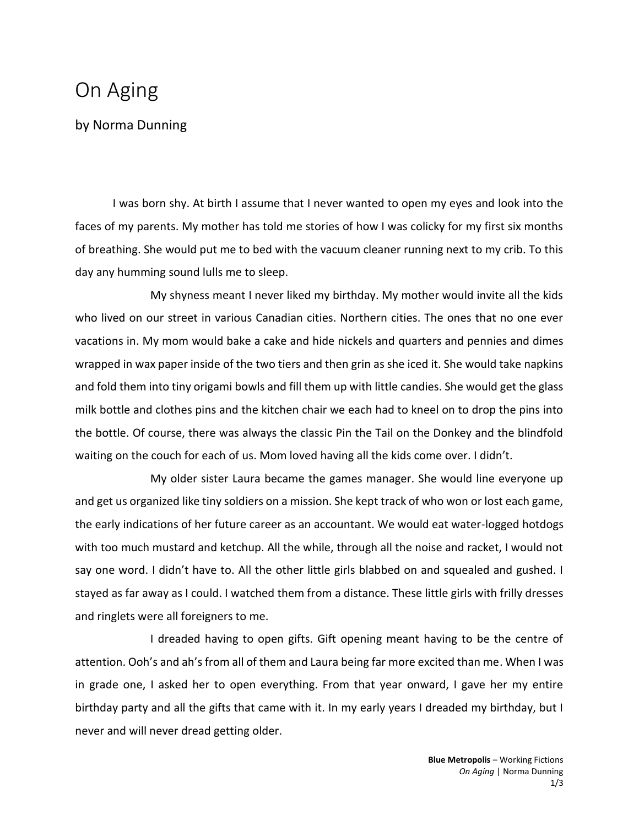## On Aging

by Norma Dunning

I was born shy. At birth I assume that I never wanted to open my eyes and look into the faces of my parents. My mother has told me stories of how I was colicky for my first six months of breathing. She would put me to bed with the vacuum cleaner running next to my crib. To this day any humming sound lulls me to sleep.

My shyness meant I never liked my birthday. My mother would invite all the kids who lived on our street in various Canadian cities. Northern cities. The ones that no one ever vacations in. My mom would bake a cake and hide nickels and quarters and pennies and dimes wrapped in wax paper inside of the two tiers and then grin as she iced it. She would take napkins and fold them into tiny origami bowls and fill them up with little candies. She would get the glass milk bottle and clothes pins and the kitchen chair we each had to kneel on to drop the pins into the bottle. Of course, there was always the classic Pin the Tail on the Donkey and the blindfold waiting on the couch for each of us. Mom loved having all the kids come over. I didn't.

My older sister Laura became the games manager. She would line everyone up and get us organized like tiny soldiers on a mission. She kept track of who won or lost each game, the early indications of her future career as an accountant. We would eat water-logged hotdogs with too much mustard and ketchup. All the while, through all the noise and racket, I would not say one word. I didn't have to. All the other little girls blabbed on and squealed and gushed. I stayed as far away as I could. I watched them from a distance. These little girls with frilly dresses and ringlets were all foreigners to me.

I dreaded having to open gifts. Gift opening meant having to be the centre of attention. Ooh's and ah's from all of them and Laura being far more excited than me. When I was in grade one, I asked her to open everything. From that year onward, I gave her my entire birthday party and all the gifts that came with it. In my early years I dreaded my birthday, but I never and will never dread getting older.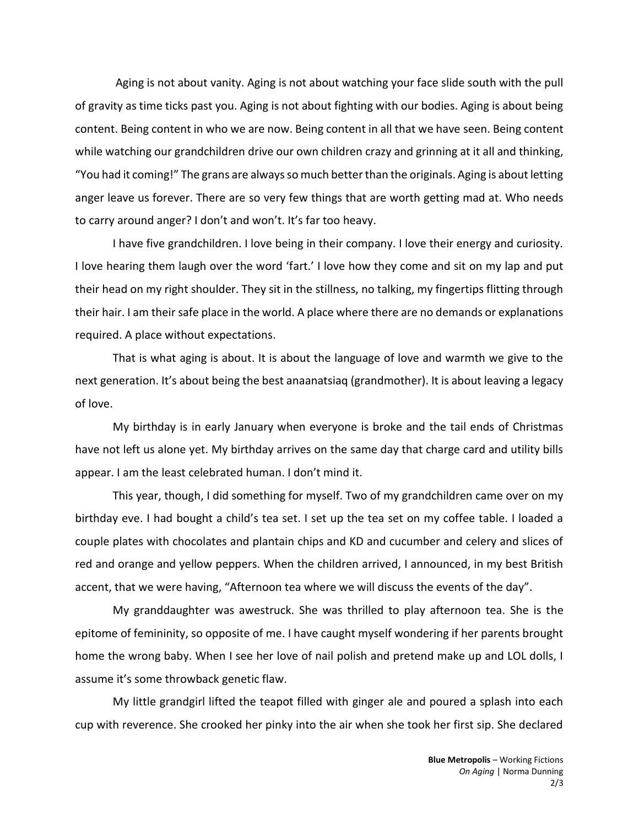Aging is not about vanity. Aging is not about watching your face slide south with the pull of gravity as time ticks past you. Aging is not about fighting with our bodies. Aging is about being content. Being content in who we are now. Being content in all that we have seen. Being content while watching our grandchildren drive our own children crazy and grinning at it all and thinking, "You had it coming!" The grans are always so much better than the originals. Aging is about letting anger leave us forever. There are so very few things that are worth getting mad at. Who needs to carry around anger? I don't and won't. It's far too heavy.

I have five grandchildren. I love being in their company. I love their energy and curiosity. I love hearing them laugh over the word 'fart.' I love how they come and sit on my lap and put their head on my right shoulder. They sit in the stillness, no talking, my fingertips flitting through their hair. I am their safe place in the world. A place where there are no demands or explanations required. A place without expectations.

That is what aging is about. It is about the language of love and warmth we give to the next generation. It's about being the best anaanatsiaq (grandmother). It is about leaving a legacy of love.

My birthday is in early January when everyone is broke and the tail ends of Christmas have not left us alone yet. My birthday arrives on the same day that charge card and utility bills appear. I am the least celebrated human. I don't mind it.

This year, though, I did something for myself. Two of my grandchildren came over on my birthday eve. I had bought a child's tea set. I set up the tea set on my coffee table. I loaded a couple plates with chocolates and plantain chips and KD and cucumber and celery and slices of red and orange and yellow peppers. When the children arrived, I announced, in my best British accent, that we were having, "Afternoon tea where we will discuss the events of the day".

My granddaughter was awestruck. She was thrilled to play afternoon tea. She is the epitome of femininity, so opposite of me. I have caught myself wondering if her parents brought home the wrong baby. When I see her love of nail polish and pretend make up and LOL dolls, I assume it's some throwback genetic flaw.

My little grandgirl lifted the teapot filled with ginger ale and poured a splash into each cup with reverence. She crooked her pinky into the air when she took her first sip. She declared